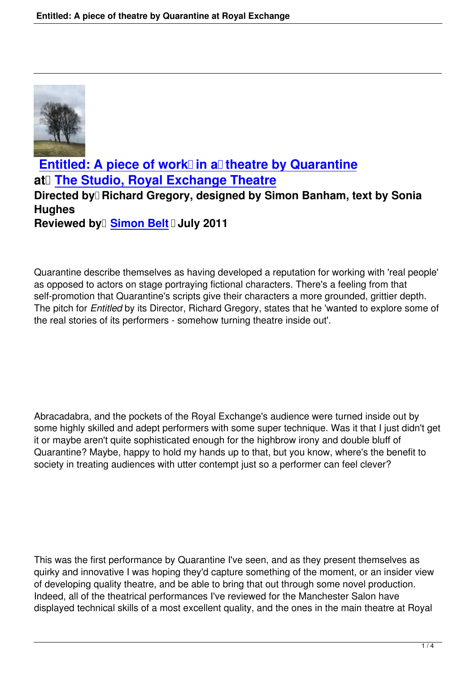

**Entitled: A piece of work in a theatre by Quarantine at** The Studio, Royal Exchange Theatre [Directed by Richard Gregory, designed by Simon Banham, te](entitled-piece-of-theatre-by-quarantine.html)xt by Sonia **Hughes Re[viewed by Simon Belt](http://www.royalexchange.org.uk/event.aspx?id=381) July 2011** 

Quarantine descri[be themselves](people.html#simon-belt) as having developed a reputation for working with 'real people' as opposed to actors on stage portraying fictional characters. There's a feeling from that self-promotion that Quarantine's scripts give their characters a more grounded, grittier depth. The pitch for *Entitled* by its Director, Richard Gregory, states that he 'wanted to explore some of the real stories of its performers - somehow turning theatre inside out'.

Abracadabra, and the pockets of the Royal Exchange's audience were turned inside out by some highly skilled and adept performers with some super technique. Was it that I just didn't get it or maybe aren't quite sophisticated enough for the highbrow irony and double bluff of Quarantine? Maybe, happy to hold my hands up to that, but you know, where's the benefit to society in treating audiences with utter contempt just so a performer can feel clever?

This was the first performance by Quarantine I've seen, and as they present themselves as quirky and innovative I was hoping they'd capture something of the moment, or an insider view of developing quality theatre, and be able to bring that out through some novel production. Indeed, all of the theatrical performances I've reviewed for the Manchester Salon have displayed technical skills of a most excellent quality, and the ones in the main theatre at Royal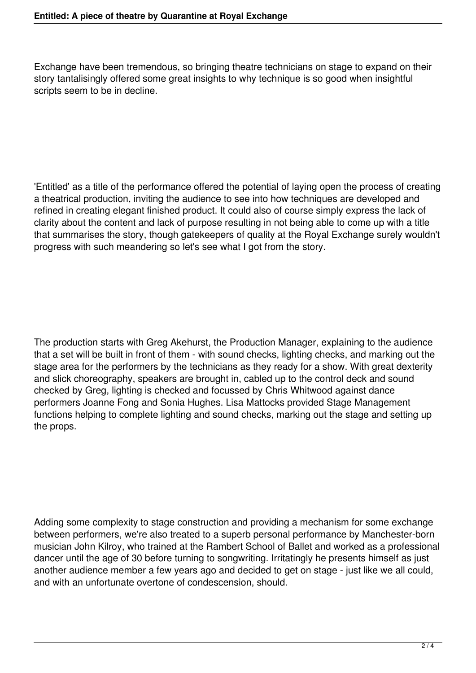Exchange have been tremendous, so bringing theatre technicians on stage to expand on their story tantalisingly offered some great insights to why technique is so good when insightful scripts seem to be in decline.

'Entitled' as a title of the performance offered the potential of laying open the process of creating a theatrical production, inviting the audience to see into how techniques are developed and refined in creating elegant finished product. It could also of course simply express the lack of clarity about the content and lack of purpose resulting in not being able to come up with a title that summarises the story, though gatekeepers of quality at the Royal Exchange surely wouldn't progress with such meandering so let's see what I got from the story.

The production starts with Greg Akehurst, the Production Manager, explaining to the audience that a set will be built in front of them - with sound checks, lighting checks, and marking out the stage area for the performers by the technicians as they ready for a show. With great dexterity and slick choreography, speakers are brought in, cabled up to the control deck and sound checked by Greg, lighting is checked and focussed by Chris Whitwood against dance performers Joanne Fong and Sonia Hughes. Lisa Mattocks provided Stage Management functions helping to complete lighting and sound checks, marking out the stage and setting up the props.

Adding some complexity to stage construction and providing a mechanism for some exchange between performers, we're also treated to a superb personal performance by Manchester-born musician John Kilroy, who trained at the Rambert School of Ballet and worked as a professional dancer until the age of 30 before turning to songwriting. Irritatingly he presents himself as just another audience member a few years ago and decided to get on stage - just like we all could, and with an unfortunate overtone of condescension, should.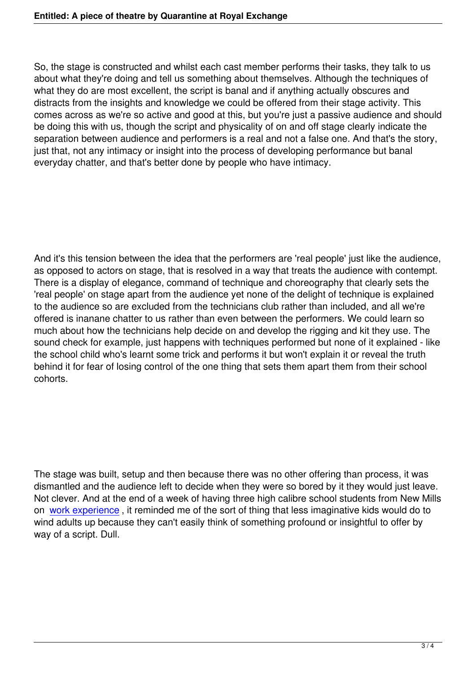So, the stage is constructed and whilst each cast member performs their tasks, they talk to us about what they're doing and tell us something about themselves. Although the techniques of what they do are most excellent, the script is banal and if anything actually obscures and distracts from the insights and knowledge we could be offered from their stage activity. This comes across as we're so active and good at this, but you're just a passive audience and should be doing this with us, though the script and physicality of on and off stage clearly indicate the separation between audience and performers is a real and not a false one. And that's the story, just that, not any intimacy or insight into the process of developing performance but banal everyday chatter, and that's better done by people who have intimacy.

And it's this tension between the idea that the performers are 'real people' just like the audience, as opposed to actors on stage, that is resolved in a way that treats the audience with contempt. There is a display of elegance, command of technique and choreography that clearly sets the 'real people' on stage apart from the audience yet none of the delight of technique is explained to the audience so are excluded from the technicians club rather than included, and all we're offered is inanane chatter to us rather than even between the performers. We could learn so much about how the technicians help decide on and develop the rigging and kit they use. The sound check for example, just happens with techniques performed but none of it explained - like the school child who's learnt some trick and performs it but won't explain it or reveal the truth behind it for fear of losing control of the one thing that sets them apart them from their school cohorts.

The stage was built, setup and then because there was no other offering than process, it was dismantled and the audience left to decide when they were so bored by it they would just leave. Not clever. And at the end of a week of having three high calibre school students from New Mills on work experience , it reminded me of the sort of thing that less imaginative kids would do to wind adults up because they can't easily think of something profound or insightful to offer by way of a script. Dull.